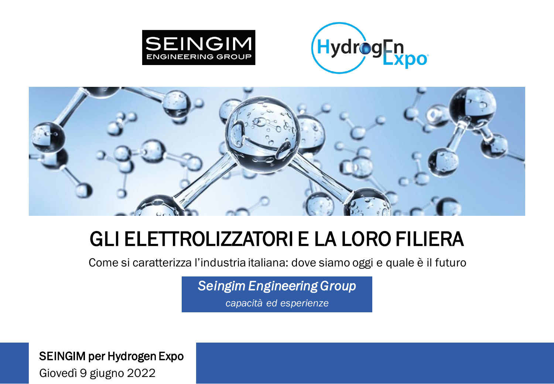





# GLI ELETTROLIZZATORI E LA LORO FILIERA

Come si caratterizza l'industria italiana: dove siamo oggi e quale è il futuro

*Seingim Engineering Group*

*capacità ed esperienze*

SEINGIM per Hydrogen Expo Giovedì 9 giugno 2022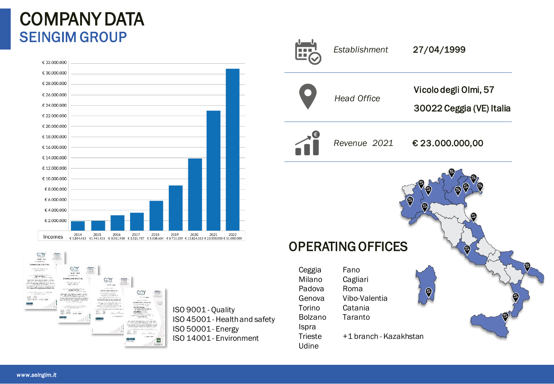#### COMPANY DATA SEINGIM GROUP





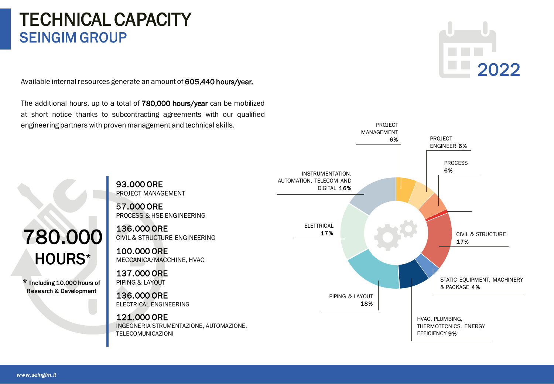#### TECHNICAL CAPACITY SEINGIM GROUP

Available internal resources generate an amount of 605,440 hours/year.

The additional hours, up to a total of 780,000 hours/year can be mobilized at short notice thanks to subcontracting agreements with our qualified engineering partners with proven management and technical skills.

93.000 ORE

# 2022



780.000 HOURS\*

\* Including 10.000 hours of Research & Development

57.000 ORE PROCESS & HSE ENGINEERING

PROJECT MANAGEMENT

136.000 ORE CIVIL & STRUCTURE ENGINEERING

100.000 ORE MECCANICA/MACCHINE, HVAC

137.000 ORE PIPING & LAYOUT

136.000 ORE ELECTRICAL ENGINEERING

121.000 ORE

INGEGNERIA STRUMENTAZIONE, AUTOMAZIONE, TELECOMUNICAZIONI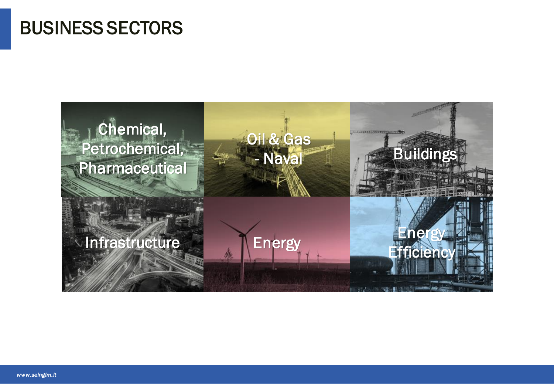### BUSINESS SECTORS

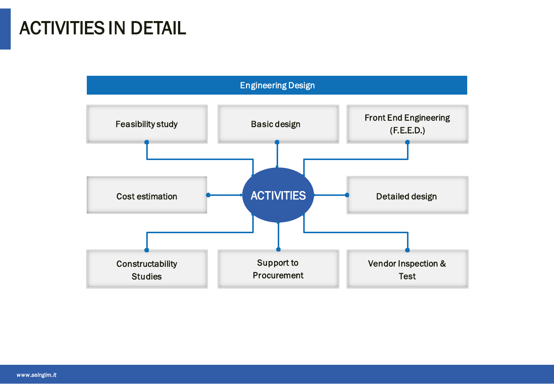# ACTIVITIES IN DETAIL

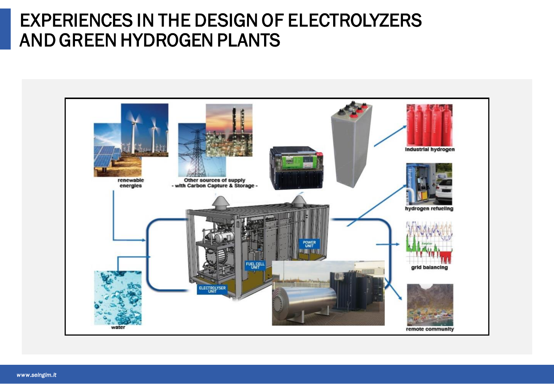#### EXPERIENCES IN THE DESIGN OF ELECTROLYZERS AND GREEN HYDROGEN PLANTS

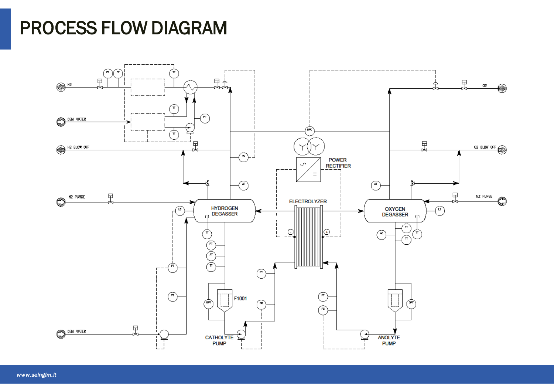## PROCESS FLOW DIAGRAM

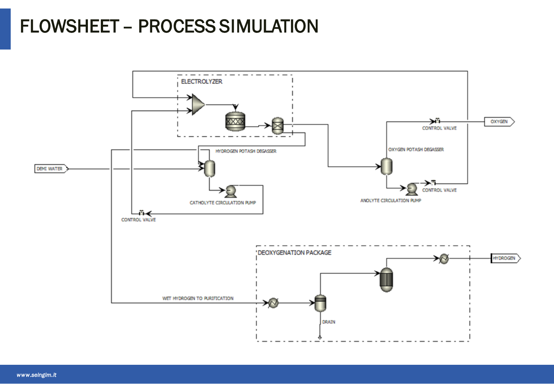# FLOWSHEET – PROCESS SIMULATION

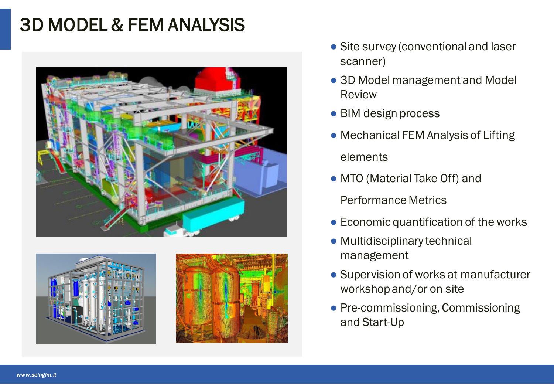# 3D MODEL & FEM ANALYSIS





- Site survey (conventional and laser scanner)
- 3D Model management and Model Review
- BIM design process
- Mechanical FEM Analysis of Lifting elements
- MTO (Material Take Off) and

Performance Metrics

- Economic quantification of the works
- Multidisciplinary technical management
- Supervision of works at manufacturer workshop and/or on site
- Pre-commissioning, Commissioning and Start-Up